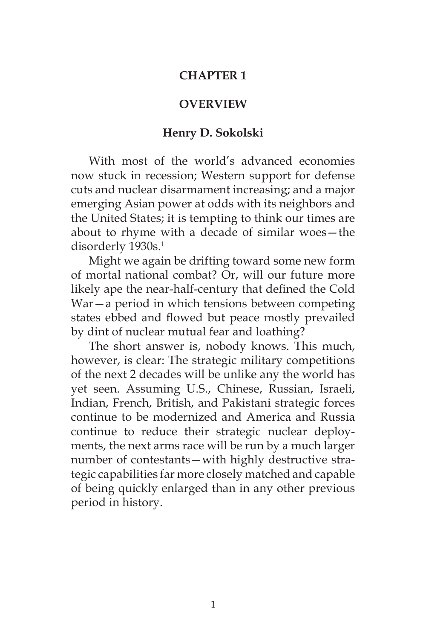## **CHAPTER 1**

## **OVERVIEW**

### **Henry D. Sokolski**

With most of the world's advanced economies now stuck in recession; Western support for defense cuts and nuclear disarmament increasing; and a major emerging Asian power at odds with its neighbors and the United States; it is tempting to think our times are about to rhyme with a decade of similar woes—the disorderly 1930s.<sup>1</sup>

Might we again be drifting toward some new form of mortal national combat? Or, will our future more likely ape the near-half-century that defined the Cold War—a period in which tensions between competing states ebbed and flowed but peace mostly prevailed by dint of nuclear mutual fear and loathing?

The short answer is, nobody knows. This much, however, is clear: The strategic military competitions of the next 2 decades will be unlike any the world has yet seen. Assuming U.S., Chinese, Russian, Israeli, Indian, French, British, and Pakistani strategic forces continue to be modernized and America and Russia continue to reduce their strategic nuclear deployments, the next arms race will be run by a much larger number of contestants—with highly destructive strategic capabilities far more closely matched and capable of being quickly enlarged than in any other previous period in history.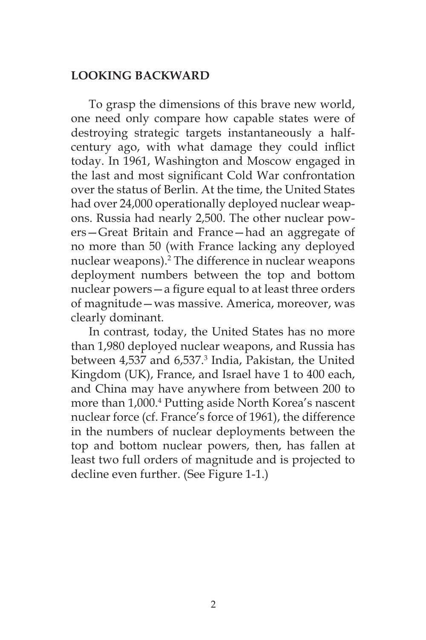### **LOOKING BACKWARD**

To grasp the dimensions of this brave new world, one need only compare how capable states were of destroying strategic targets instantaneously a halfcentury ago, with what damage they could inflict today. In 1961, Washington and Moscow engaged in the last and most significant Cold War confrontation over the status of Berlin. At the time, the United States had over 24,000 operationally deployed nuclear weapons. Russia had nearly 2,500. The other nuclear powers—Great Britain and France—had an aggregate of no more than 50 (with France lacking any deployed nuclear weapons).<sup>2</sup> The difference in nuclear weapons deployment numbers between the top and bottom nuclear powers—a figure equal to at least three orders of magnitude—was massive. America, moreover, was clearly dominant.

In contrast, today, the United States has no more than 1,980 deployed nuclear weapons, and Russia has between 4,537 and 6,537.3 India, Pakistan, the United Kingdom (UK), France, and Israel have 1 to 400 each, and China may have anywhere from between 200 to more than 1,000.4 Putting aside North Korea's nascent nuclear force (cf. France's force of 1961), the difference in the numbers of nuclear deployments between the top and bottom nuclear powers, then, has fallen at least two full orders of magnitude and is projected to decline even further. (See Figure 1-1.)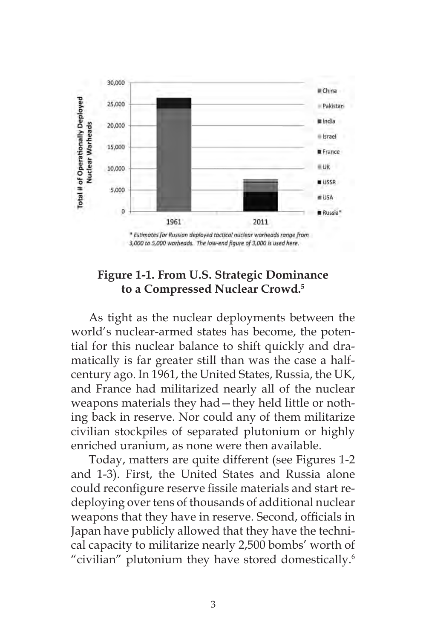

# **Figure 1-1. From U.S. Strategic Dominance to a Compressed Nuclear Crowd.5**

As tight as the nuclear deployments between the world's nuclear-armed states has become, the potential for this nuclear balance to shift quickly and dramatically is far greater still than was the case a halfcentury ago. In 1961, the United States, Russia, the UK, and France had militarized nearly all of the nuclear weapons materials they had—they held little or nothing back in reserve. Nor could any of them militarize civilian stockpiles of separated plutonium or highly enriched uranium, as none were then available.

Today, matters are quite different (see Figures 1-2 and 1-3). First, the United States and Russia alone could reconfigure reserve fissile materials and start redeploying over tens of thousands of additional nuclear weapons that they have in reserve. Second, officials in Japan have publicly allowed that they have the technical capacity to militarize nearly 2,500 bombs' worth of "civilian" plutonium they have stored domestically.<sup>6</sup>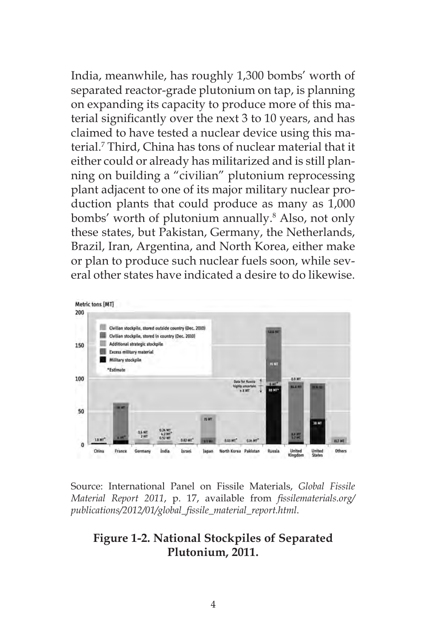India, meanwhile, has roughly 1,300 bombs' worth of separated reactor-grade plutonium on tap, is planning on expanding its capacity to produce more of this material significantly over the next 3 to 10 years, and has claimed to have tested a nuclear device using this material.7 Third, China has tons of nuclear material that it either could or already has militarized and is still planning on building a "civilian" plutonium reprocessing plant adjacent to one of its major military nuclear production plants that could produce as many as 1,000 bombs' worth of plutonium annually.<sup>8</sup> Also, not only these states, but Pakistan, Germany, the Netherlands, Brazil, Iran, Argentina, and North Korea, either make or plan to produce such nuclear fuels soon, while several other states have indicated a desire to do likewise.



Source: International Panel on Fissile Materials, *Global Fissile Material Report 2011*, p. 17, available from *fissilematerials.org/ publications/2012/01/global\_fissile\_material\_report.html*.

### **Figure 1-2. National Stockpiles of Separated Plutonium, 2011.**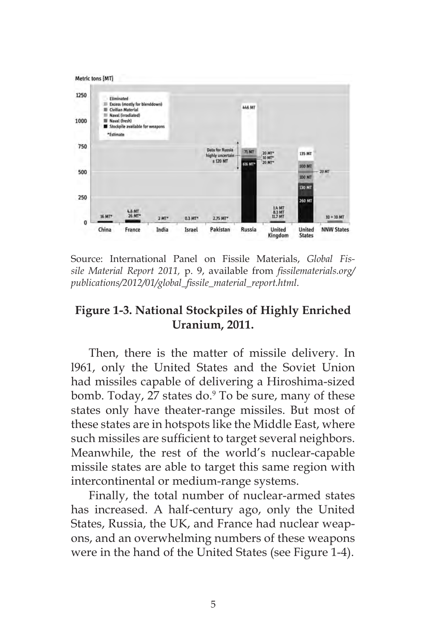

Source: International Panel on Fissile Materials, *Global Fissile Material Report 2011,* p. 9, available from *fissilematerials.org/ publications/2012/01/global\_fissile\_material\_report.html*.

## **Figure 1-3. National Stockpiles of Highly Enriched Uranium, 2011.**

Then, there is the matter of missile delivery. In l961, only the United States and the Soviet Union had missiles capable of delivering a Hiroshima-sized bomb. Today, 27 states do.<sup>9</sup> To be sure, many of these states only have theater-range missiles. But most of these states are in hotspots like the Middle East, where such missiles are sufficient to target several neighbors. Meanwhile, the rest of the world's nuclear-capable missile states are able to target this same region with intercontinental or medium-range systems.

Finally, the total number of nuclear-armed states has increased. A half-century ago, only the United States, Russia, the UK, and France had nuclear weapons, and an overwhelming numbers of these weapons were in the hand of the United States (see Figure 1-4).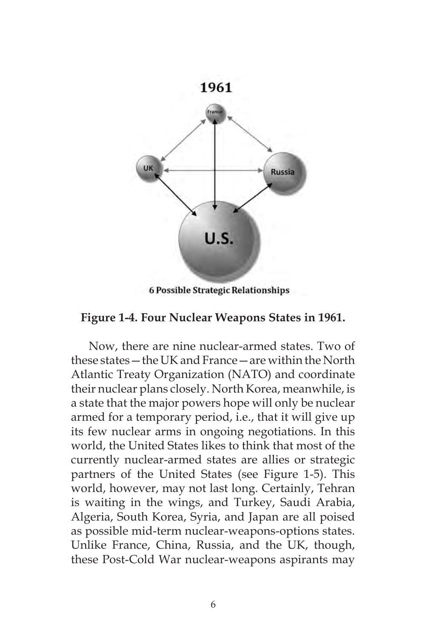

6 Possible Strategic Relationships

### **Figure 1-4. Four Nuclear Weapons States in 1961.**

Now, there are nine nuclear-armed states. Two of these states—the UK and France—are within the North Atlantic Treaty Organization (NATO) and coordinate their nuclear plans closely. North Korea, meanwhile, is a state that the major powers hope will only be nuclear armed for a temporary period, i.e., that it will give up its few nuclear arms in ongoing negotiations. In this world, the United States likes to think that most of the currently nuclear-armed states are allies or strategic partners of the United States (see Figure 1-5). This world, however, may not last long. Certainly, Tehran is waiting in the wings, and Turkey, Saudi Arabia, Algeria, South Korea, Syria, and Japan are all poised as possible mid-term nuclear-weapons-options states. Unlike France, China, Russia, and the UK, though, these Post-Cold War nuclear-weapons aspirants may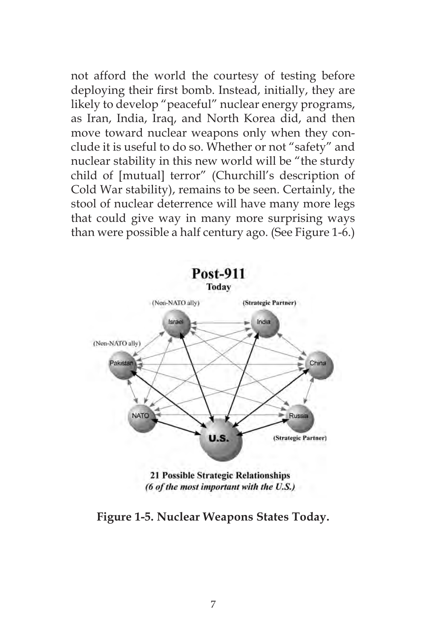not afford the world the courtesy of testing before deploying their first bomb. Instead, initially, they are likely to develop "peaceful" nuclear energy programs, as Iran, India, Iraq, and North Korea did, and then move toward nuclear weapons only when they conclude it is useful to do so. Whether or not "safety" and nuclear stability in this new world will be "the sturdy child of [mutual] terror" (Churchill's description of Cold War stability), remains to be seen. Certainly, the stool of nuclear deterrence will have many more legs that could give way in many more surprising ways than were possible a half century ago. (See Figure 1-6.)



(6 of the most important with the U.S.)

**Figure 1-5. Nuclear Weapons States Today.**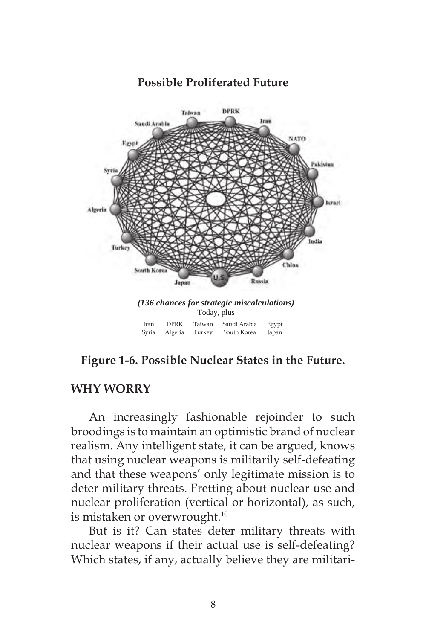#### **Possible Proliferated Future**





#### **WHY WORRY**

An increasingly fashionable rejoinder to such broodings is to maintain an optimistic brand of nuclear realism. Any intelligent state, it can be argued, knows that using nuclear weapons is militarily self-defeating and that these weapons' only legitimate mission is to deter military threats. Fretting about nuclear use and nuclear proliferation (vertical or horizontal), as such, is mistaken or overwrought.<sup>10</sup>

But is it? Can states deter military threats with nuclear weapons if their actual use is self-defeating? Which states, if any, actually believe they are militari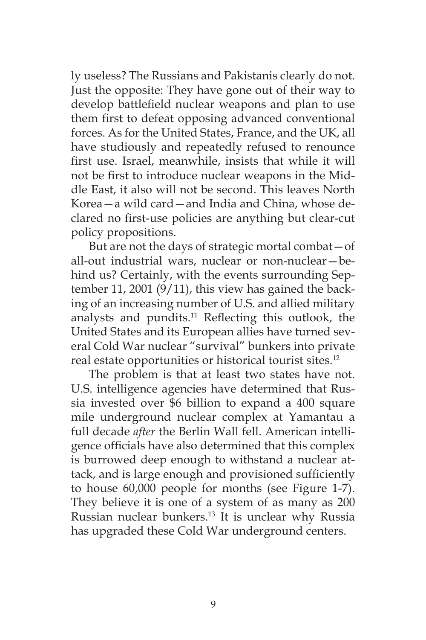ly useless? The Russians and Pakistanis clearly do not. Just the opposite: They have gone out of their way to develop battlefield nuclear weapons and plan to use them first to defeat opposing advanced conventional forces. As for the United States, France, and the UK, all have studiously and repeatedly refused to renounce first use. Israel, meanwhile, insists that while it will not be first to introduce nuclear weapons in the Middle East, it also will not be second. This leaves North Korea—a wild card—and India and China, whose declared no first-use policies are anything but clear-cut policy propositions.

But are not the days of strategic mortal combat—of all-out industrial wars, nuclear or non-nuclear—behind us? Certainly, with the events surrounding September 11, 2001 (9/11), this view has gained the backing of an increasing number of U.S. and allied military analysts and pundits.<sup>11</sup> Reflecting this outlook, the United States and its European allies have turned several Cold War nuclear "survival" bunkers into private real estate opportunities or historical tourist sites.12

The problem is that at least two states have not. U.S. intelligence agencies have determined that Russia invested over \$6 billion to expand a 400 square mile underground nuclear complex at Yamantau a full decade *after* the Berlin Wall fell. American intelligence officials have also determined that this complex is burrowed deep enough to withstand a nuclear attack, and is large enough and provisioned sufficiently to house 60,000 people for months (see Figure 1-7). They believe it is one of a system of as many as 200 Russian nuclear bunkers.13 It is unclear why Russia has upgraded these Cold War underground centers.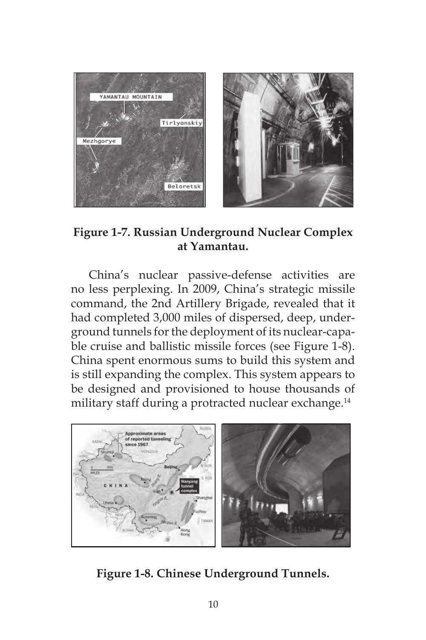

**Figure 1-7. Russian Underground Nuclear Complex at Yamantau.**

China's nuclear passive-defense activities are no less perplexing. In 2009, China's strategic missile command, the 2nd Artillery Brigade, revealed that it had completed 3,000 miles of dispersed, deep, underground tunnels for the deployment of its nuclear-capable cruise and ballistic missile forces (see Figure 1-8). China spent enormous sums to build this system and is still expanding the complex. This system appears to be designed and provisioned to house thousands of military staff during a protracted nuclear exchange.<sup>14</sup>



**Figure 1-8. Chinese Underground Tunnels.**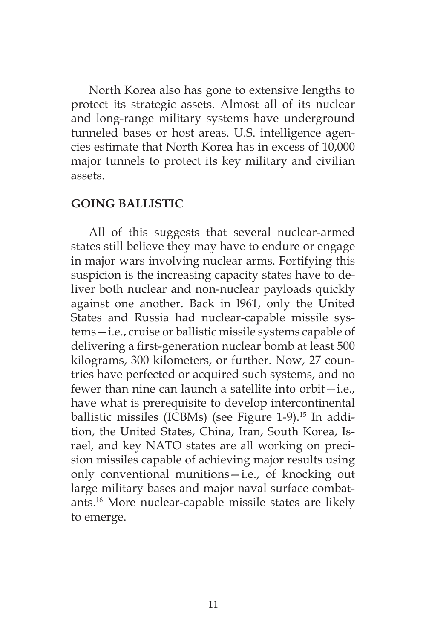North Korea also has gone to extensive lengths to protect its strategic assets. Almost all of its nuclear and long-range military systems have underground tunneled bases or host areas. U.S. intelligence agencies estimate that North Korea has in excess of 10,000 major tunnels to protect its key military and civilian assets.

### **GOING BALLISTIC**

All of this suggests that several nuclear-armed states still believe they may have to endure or engage in major wars involving nuclear arms. Fortifying this suspicion is the increasing capacity states have to deliver both nuclear and non-nuclear payloads quickly against one another. Back in l961, only the United States and Russia had nuclear-capable missile systems—i.e., cruise or ballistic missile systems capable of delivering a first-generation nuclear bomb at least 500 kilograms, 300 kilometers, or further. Now, 27 countries have perfected or acquired such systems, and no fewer than nine can launch a satellite into orbit—i.e., have what is prerequisite to develop intercontinental ballistic missiles (ICBMs) (see Figure 1-9).<sup>15</sup> In addition, the United States, China, Iran, South Korea, Israel, and key NATO states are all working on precision missiles capable of achieving major results using only conventional munitions—i.e., of knocking out large military bases and major naval surface combatants.16 More nuclear-capable missile states are likely to emerge.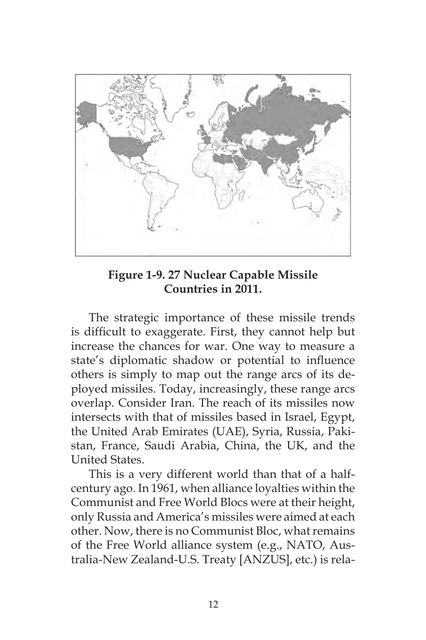

**Figure 1-9. 27 Nuclear Capable Missile Countries in 2011.**

The strategic importance of these missile trends is difficult to exaggerate. First, they cannot help but increase the chances for war. One way to measure a state's diplomatic shadow or potential to influence others is simply to map out the range arcs of its deployed missiles. Today, increasingly, these range arcs overlap. Consider Iran. The reach of its missiles now intersects with that of missiles based in Israel, Egypt, the United Arab Emirates (UAE), Syria, Russia, Pakistan, France, Saudi Arabia, China, the UK, and the United States.

This is a very different world than that of a halfcentury ago. In 1961, when alliance loyalties within the Communist and Free World Blocs were at their height, only Russia and America's missiles were aimed at each other. Now, there is no Communist Bloc, what remains of the Free World alliance system (e.g., NATO, Australia-New Zealand-U.S. Treaty [ANZUS], etc.) is rela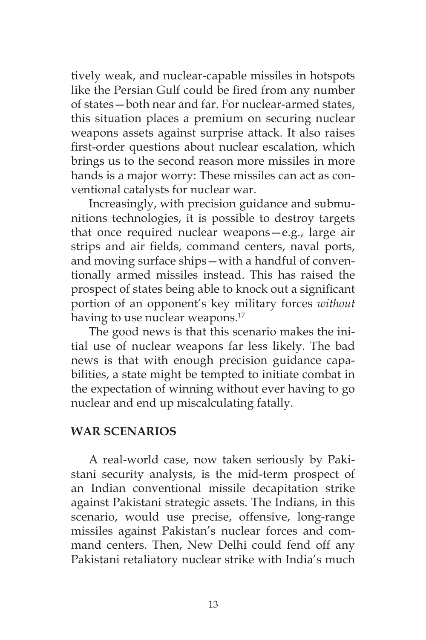tively weak, and nuclear-capable missiles in hotspots like the Persian Gulf could be fired from any number of states—both near and far. For nuclear-armed states, this situation places a premium on securing nuclear weapons assets against surprise attack. It also raises first-order questions about nuclear escalation, which brings us to the second reason more missiles in more hands is a major worry: These missiles can act as conventional catalysts for nuclear war.

Increasingly, with precision guidance and submunitions technologies, it is possible to destroy targets that once required nuclear weapons—e.g., large air strips and air fields, command centers, naval ports, and moving surface ships—with a handful of conventionally armed missiles instead. This has raised the prospect of states being able to knock out a significant portion of an opponent's key military forces *without* having to use nuclear weapons.<sup>17</sup>

The good news is that this scenario makes the initial use of nuclear weapons far less likely. The bad news is that with enough precision guidance capabilities, a state might be tempted to initiate combat in the expectation of winning without ever having to go nuclear and end up miscalculating fatally.

## **WAR SCENARIOS**

A real-world case, now taken seriously by Pakistani security analysts, is the mid-term prospect of an Indian conventional missile decapitation strike against Pakistani strategic assets. The Indians, in this scenario, would use precise, offensive, long-range missiles against Pakistan's nuclear forces and command centers. Then, New Delhi could fend off any Pakistani retaliatory nuclear strike with India's much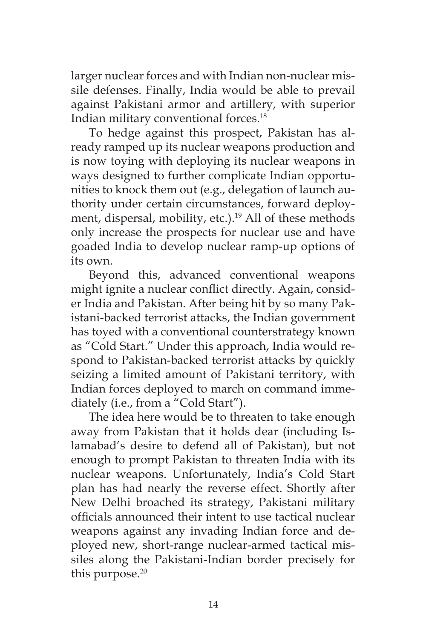larger nuclear forces and with Indian non-nuclear missile defenses. Finally, India would be able to prevail against Pakistani armor and artillery, with superior Indian military conventional forces.18

To hedge against this prospect, Pakistan has already ramped up its nuclear weapons production and is now toying with deploying its nuclear weapons in ways designed to further complicate Indian opportunities to knock them out (e.g., delegation of launch authority under certain circumstances, forward deployment, dispersal, mobility, etc.).<sup>19</sup> All of these methods only increase the prospects for nuclear use and have goaded India to develop nuclear ramp-up options of its own.

Beyond this, advanced conventional weapons might ignite a nuclear conflict directly. Again, consider India and Pakistan. After being hit by so many Pakistani-backed terrorist attacks, the Indian government has toyed with a conventional counterstrategy known as "Cold Start." Under this approach, India would respond to Pakistan-backed terrorist attacks by quickly seizing a limited amount of Pakistani territory, with Indian forces deployed to march on command immediately (i.e., from a "Cold Start").

The idea here would be to threaten to take enough away from Pakistan that it holds dear (including Islamabad's desire to defend all of Pakistan), but not enough to prompt Pakistan to threaten India with its nuclear weapons. Unfortunately, India's Cold Start plan has had nearly the reverse effect. Shortly after New Delhi broached its strategy, Pakistani military officials announced their intent to use tactical nuclear weapons against any invading Indian force and deployed new, short-range nuclear-armed tactical missiles along the Pakistani-Indian border precisely for this purpose.<sup>20</sup>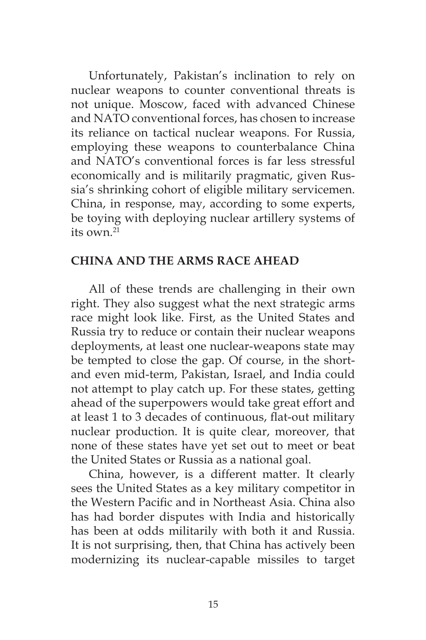Unfortunately, Pakistan's inclination to rely on nuclear weapons to counter conventional threats is not unique. Moscow, faced with advanced Chinese and NATO conventional forces, has chosen to increase its reliance on tactical nuclear weapons. For Russia, employing these weapons to counterbalance China and NATO's conventional forces is far less stressful economically and is militarily pragmatic, given Russia's shrinking cohort of eligible military servicemen. China, in response, may, according to some experts, be toying with deploying nuclear artillery systems of its own.21

### **CHINA AND THE ARMS RACE AHEAD**

All of these trends are challenging in their own right. They also suggest what the next strategic arms race might look like. First, as the United States and Russia try to reduce or contain their nuclear weapons deployments, at least one nuclear-weapons state may be tempted to close the gap. Of course, in the shortand even mid-term, Pakistan, Israel, and India could not attempt to play catch up. For these states, getting ahead of the superpowers would take great effort and at least 1 to 3 decades of continuous, flat-out military nuclear production. It is quite clear, moreover, that none of these states have yet set out to meet or beat the United States or Russia as a national goal.

China, however, is a different matter. It clearly sees the United States as a key military competitor in the Western Pacific and in Northeast Asia. China also has had border disputes with India and historically has been at odds militarily with both it and Russia. It is not surprising, then, that China has actively been modernizing its nuclear-capable missiles to target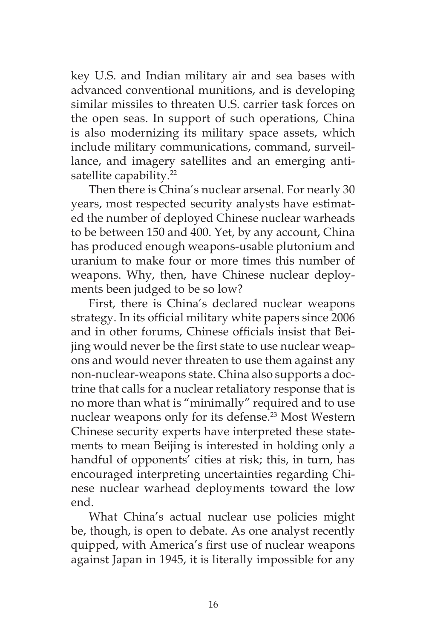key U.S. and Indian military air and sea bases with advanced conventional munitions, and is developing similar missiles to threaten U.S. carrier task forces on the open seas. In support of such operations, China is also modernizing its military space assets, which include military communications, command, surveillance, and imagery satellites and an emerging antisatellite capability.<sup>22</sup>

Then there is China's nuclear arsenal. For nearly 30 years, most respected security analysts have estimated the number of deployed Chinese nuclear warheads to be between 150 and 400. Yet, by any account, China has produced enough weapons-usable plutonium and uranium to make four or more times this number of weapons. Why, then, have Chinese nuclear deployments been judged to be so low?

First, there is China's declared nuclear weapons strategy. In its official military white papers since 2006 and in other forums, Chinese officials insist that Beijing would never be the first state to use nuclear weapons and would never threaten to use them against any non-nuclear-weapons state. China also supports a doctrine that calls for a nuclear retaliatory response that is no more than what is "minimally" required and to use nuclear weapons only for its defense.<sup>23</sup> Most Western Chinese security experts have interpreted these statements to mean Beijing is interested in holding only a handful of opponents' cities at risk; this, in turn, has encouraged interpreting uncertainties regarding Chinese nuclear warhead deployments toward the low end.

What China's actual nuclear use policies might be, though, is open to debate. As one analyst recently quipped, with America's first use of nuclear weapons against Japan in 1945, it is literally impossible for any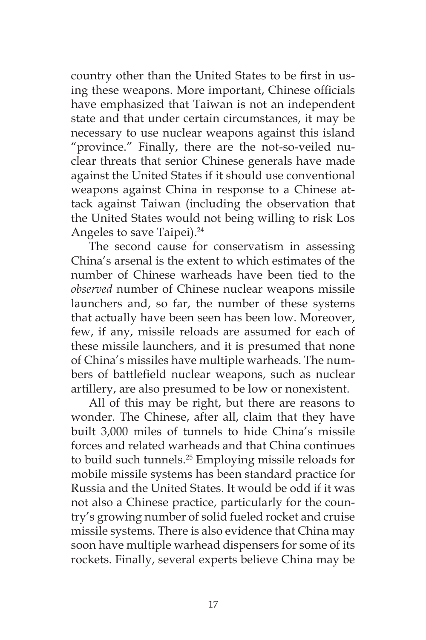country other than the United States to be first in using these weapons. More important, Chinese officials have emphasized that Taiwan is not an independent state and that under certain circumstances, it may be necessary to use nuclear weapons against this island "province." Finally, there are the not-so-veiled nuclear threats that senior Chinese generals have made against the United States if it should use conventional weapons against China in response to a Chinese attack against Taiwan (including the observation that the United States would not being willing to risk Los Angeles to save Taipei).<sup>24</sup>

The second cause for conservatism in assessing China's arsenal is the extent to which estimates of the number of Chinese warheads have been tied to the *observed* number of Chinese nuclear weapons missile launchers and, so far, the number of these systems that actually have been seen has been low. Moreover, few, if any, missile reloads are assumed for each of these missile launchers, and it is presumed that none of China's missiles have multiple warheads. The numbers of battlefield nuclear weapons, such as nuclear artillery, are also presumed to be low or nonexistent.

All of this may be right, but there are reasons to wonder. The Chinese, after all, claim that they have built 3,000 miles of tunnels to hide China's missile forces and related warheads and that China continues to build such tunnels.<sup>25</sup> Employing missile reloads for mobile missile systems has been standard practice for Russia and the United States. It would be odd if it was not also a Chinese practice, particularly for the country's growing number of solid fueled rocket and cruise missile systems. There is also evidence that China may soon have multiple warhead dispensers for some of its rockets. Finally, several experts believe China may be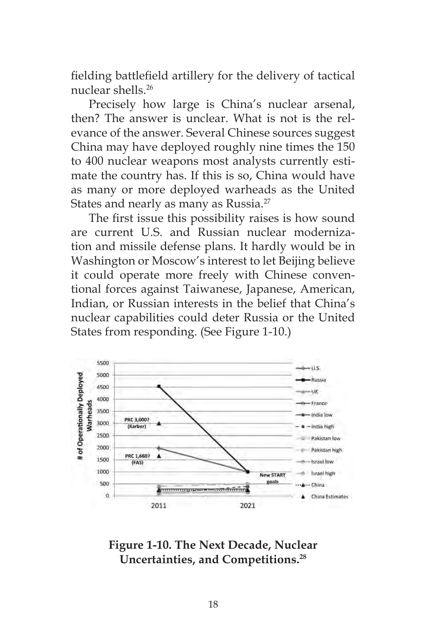fielding battlefield artillery for the delivery of tactical nuclear shells.26

Precisely how large is China's nuclear arsenal, then? The answer is unclear. What is not is the relevance of the answer. Several Chinese sources suggest China may have deployed roughly nine times the 150 to 400 nuclear weapons most analysts currently estimate the country has. If this is so, China would have as many or more deployed warheads as the United States and nearly as many as Russia.<sup>27</sup>

The first issue this possibility raises is how sound are current U.S. and Russian nuclear modernization and missile defense plans. It hardly would be in Washington or Moscow's interest to let Beijing believe it could operate more freely with Chinese conventional forces against Taiwanese, Japanese, American, Indian, or Russian interests in the belief that China's nuclear capabilities could deter Russia or the United States from responding. (See Figure 1-10.)



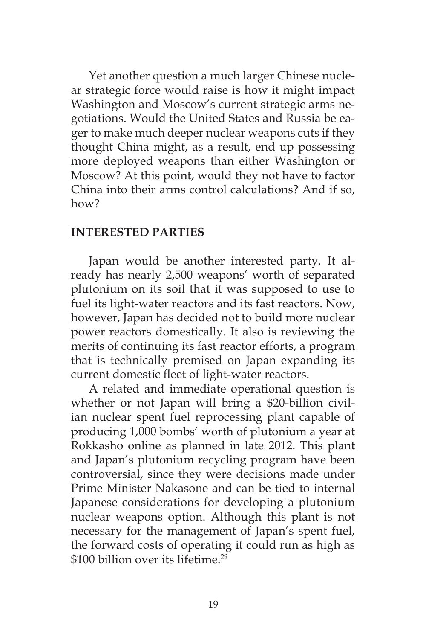Yet another question a much larger Chinese nuclear strategic force would raise is how it might impact Washington and Moscow's current strategic arms negotiations. Would the United States and Russia be eager to make much deeper nuclear weapons cuts if they thought China might, as a result, end up possessing more deployed weapons than either Washington or Moscow? At this point, would they not have to factor China into their arms control calculations? And if so, how?

### **INTERESTED PARTIES**

Japan would be another interested party. It already has nearly 2,500 weapons' worth of separated plutonium on its soil that it was supposed to use to fuel its light-water reactors and its fast reactors. Now, however, Japan has decided not to build more nuclear power reactors domestically. It also is reviewing the merits of continuing its fast reactor efforts, a program that is technically premised on Japan expanding its current domestic fleet of light-water reactors.

A related and immediate operational question is whether or not Japan will bring a \$20-billion civilian nuclear spent fuel reprocessing plant capable of producing 1,000 bombs' worth of plutonium a year at Rokkasho online as planned in late 2012. This plant and Japan's plutonium recycling program have been controversial, since they were decisions made under Prime Minister Nakasone and can be tied to internal Japanese considerations for developing a plutonium nuclear weapons option. Although this plant is not necessary for the management of Japan's spent fuel, the forward costs of operating it could run as high as  $$100$  billion over its lifetime  $^{29}$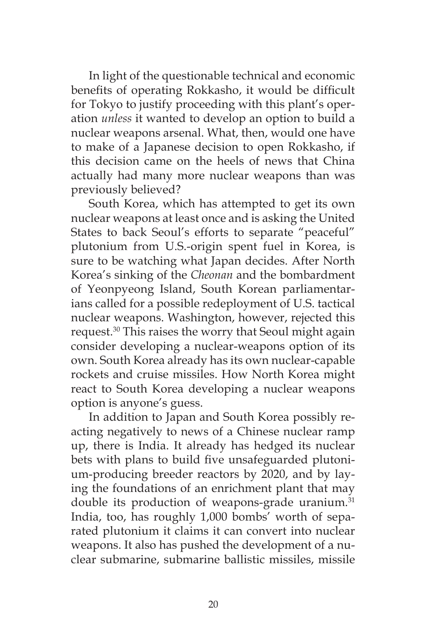In light of the questionable technical and economic benefits of operating Rokkasho, it would be difficult for Tokyo to justify proceeding with this plant's operation *unless* it wanted to develop an option to build a nuclear weapons arsenal. What, then, would one have to make of a Japanese decision to open Rokkasho, if this decision came on the heels of news that China actually had many more nuclear weapons than was previously believed?

South Korea, which has attempted to get its own nuclear weapons at least once and is asking the United States to back Seoul's efforts to separate "peaceful" plutonium from U.S.-origin spent fuel in Korea, is sure to be watching what Japan decides. After North Korea's sinking of the *Cheonan* and the bombardment of Yeonpyeong Island, South Korean parliamentarians called for a possible redeployment of U.S. tactical nuclear weapons. Washington, however, rejected this request.30 This raises the worry that Seoul might again consider developing a nuclear-weapons option of its own. South Korea already has its own nuclear-capable rockets and cruise missiles. How North Korea might react to South Korea developing a nuclear weapons option is anyone's guess.

In addition to Japan and South Korea possibly reacting negatively to news of a Chinese nuclear ramp up, there is India. It already has hedged its nuclear bets with plans to build five unsafeguarded plutonium-producing breeder reactors by 2020, and by laying the foundations of an enrichment plant that may double its production of weapons-grade uranium.<sup>31</sup> India, too, has roughly 1,000 bombs' worth of separated plutonium it claims it can convert into nuclear weapons. It also has pushed the development of a nuclear submarine, submarine ballistic missiles, missile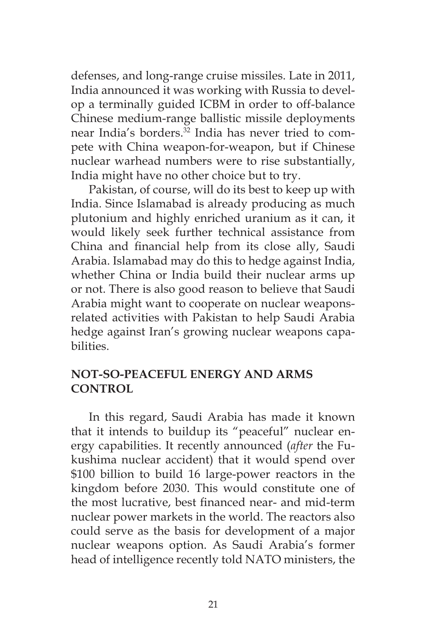defenses, and long-range cruise missiles. Late in 2011, India announced it was working with Russia to develop a terminally guided ICBM in order to off-balance Chinese medium-range ballistic missile deployments near India's borders.<sup>32</sup> India has never tried to compete with China weapon-for-weapon, but if Chinese nuclear warhead numbers were to rise substantially, India might have no other choice but to try.

Pakistan, of course, will do its best to keep up with India. Since Islamabad is already producing as much plutonium and highly enriched uranium as it can, it would likely seek further technical assistance from China and financial help from its close ally, Saudi Arabia. Islamabad may do this to hedge against India, whether China or India build their nuclear arms up or not. There is also good reason to believe that Saudi Arabia might want to cooperate on nuclear weaponsrelated activities with Pakistan to help Saudi Arabia hedge against Iran's growing nuclear weapons capabilities.

## **NOT-SO-PEACEFUL ENERGY AND ARMS CONTROL**

In this regard, Saudi Arabia has made it known that it intends to buildup its "peaceful" nuclear energy capabilities. It recently announced (*after* the Fukushima nuclear accident) that it would spend over \$100 billion to build 16 large-power reactors in the kingdom before 2030. This would constitute one of the most lucrative, best financed near- and mid-term nuclear power markets in the world. The reactors also could serve as the basis for development of a major nuclear weapons option. As Saudi Arabia's former head of intelligence recently told NATO ministers, the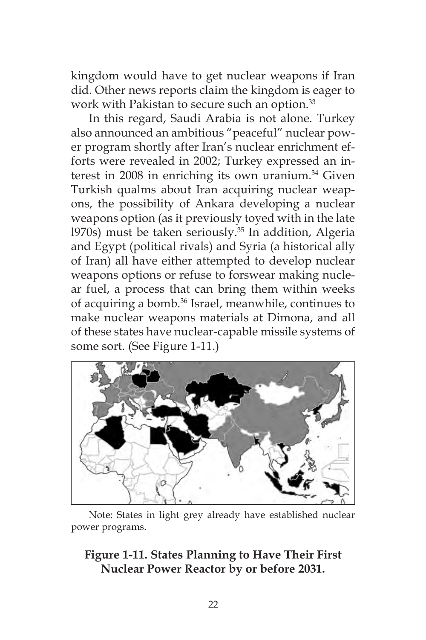kingdom would have to get nuclear weapons if Iran did. Other news reports claim the kingdom is eager to work with Pakistan to secure such an option.<sup>33</sup>

In this regard, Saudi Arabia is not alone. Turkey also announced an ambitious "peaceful" nuclear power program shortly after Iran's nuclear enrichment efforts were revealed in 2002; Turkey expressed an interest in 2008 in enriching its own uranium.<sup>34</sup> Given Turkish qualms about Iran acquiring nuclear weapons, the possibility of Ankara developing a nuclear weapons option (as it previously toyed with in the late l970s) must be taken seriously.35 In addition, Algeria and Egypt (political rivals) and Syria (a historical ally of Iran) all have either attempted to develop nuclear weapons options or refuse to forswear making nuclear fuel, a process that can bring them within weeks of acquiring a bomb.<sup>36</sup> Israel, meanwhile, continues to make nuclear weapons materials at Dimona, and all of these states have nuclear-capable missile systems of some sort. (See Figure 1-11.)



Note: States in light grey already have established nuclear power programs.

## **Figure 1-11. States Planning to Have Their First Nuclear Power Reactor by or before 2031.**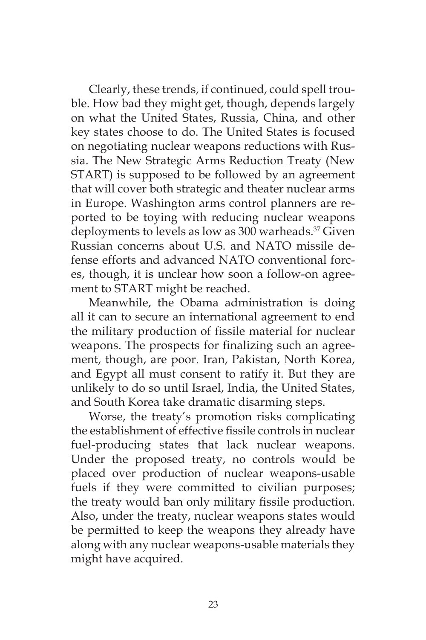Clearly, these trends, if continued, could spell trouble. How bad they might get, though, depends largely on what the United States, Russia, China, and other key states choose to do. The United States is focused on negotiating nuclear weapons reductions with Russia. The New Strategic Arms Reduction Treaty (New START) is supposed to be followed by an agreement that will cover both strategic and theater nuclear arms in Europe. Washington arms control planners are reported to be toying with reducing nuclear weapons deployments to levels as low as 300 warheads.<sup>37</sup> Given Russian concerns about U.S. and NATO missile defense efforts and advanced NATO conventional forces, though, it is unclear how soon a follow-on agreement to START might be reached.

Meanwhile, the Obama administration is doing all it can to secure an international agreement to end the military production of fissile material for nuclear weapons. The prospects for finalizing such an agreement, though, are poor. Iran, Pakistan, North Korea, and Egypt all must consent to ratify it. But they are unlikely to do so until Israel, India, the United States, and South Korea take dramatic disarming steps.

Worse, the treaty's promotion risks complicating the establishment of effective fissile controls in nuclear fuel-producing states that lack nuclear weapons. Under the proposed treaty, no controls would be placed over production of nuclear weapons-usable fuels if they were committed to civilian purposes; the treaty would ban only military fissile production. Also, under the treaty, nuclear weapons states would be permitted to keep the weapons they already have along with any nuclear weapons-usable materials they might have acquired.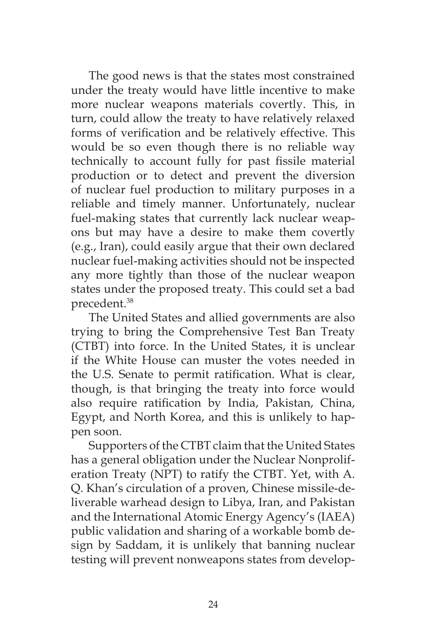The good news is that the states most constrained under the treaty would have little incentive to make more nuclear weapons materials covertly. This, in turn, could allow the treaty to have relatively relaxed forms of verification and be relatively effective. This would be so even though there is no reliable way technically to account fully for past fissile material production or to detect and prevent the diversion of nuclear fuel production to military purposes in a reliable and timely manner. Unfortunately, nuclear fuel-making states that currently lack nuclear weapons but may have a desire to make them covertly (e.g., Iran), could easily argue that their own declared nuclear fuel-making activities should not be inspected any more tightly than those of the nuclear weapon states under the proposed treaty. This could set a bad precedent.38

The United States and allied governments are also trying to bring the Comprehensive Test Ban Treaty (CTBT) into force. In the United States, it is unclear if the White House can muster the votes needed in the U.S. Senate to permit ratification. What is clear, though, is that bringing the treaty into force would also require ratification by India, Pakistan, China, Egypt, and North Korea, and this is unlikely to happen soon.

Supporters of the CTBT claim that the United States has a general obligation under the Nuclear Nonproliferation Treaty (NPT) to ratify the CTBT. Yet, with A. Q. Khan's circulation of a proven, Chinese missile-deliverable warhead design to Libya, Iran, and Pakistan and the International Atomic Energy Agency's (IAEA) public validation and sharing of a workable bomb design by Saddam, it is unlikely that banning nuclear testing will prevent nonweapons states from develop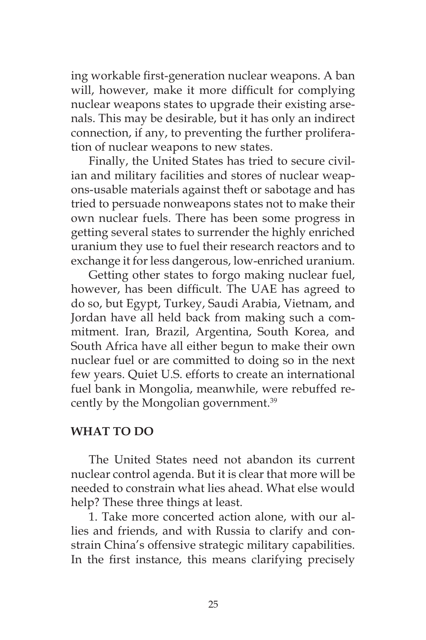ing workable first-generation nuclear weapons. A ban will, however, make it more difficult for complying nuclear weapons states to upgrade their existing arsenals. This may be desirable, but it has only an indirect connection, if any, to preventing the further proliferation of nuclear weapons to new states.

Finally, the United States has tried to secure civilian and military facilities and stores of nuclear weapons-usable materials against theft or sabotage and has tried to persuade nonweapons states not to make their own nuclear fuels. There has been some progress in getting several states to surrender the highly enriched uranium they use to fuel their research reactors and to exchange it for less dangerous, low-enriched uranium.

Getting other states to forgo making nuclear fuel, however, has been difficult. The UAE has agreed to do so, but Egypt, Turkey, Saudi Arabia, Vietnam, and Jordan have all held back from making such a commitment. Iran, Brazil, Argentina, South Korea, and South Africa have all either begun to make their own nuclear fuel or are committed to doing so in the next few years. Quiet U.S. efforts to create an international fuel bank in Mongolia, meanwhile, were rebuffed recently by the Mongolian government.39

## **WHAT TO DO**

The United States need not abandon its current nuclear control agenda. But it is clear that more will be needed to constrain what lies ahead. What else would help? These three things at least.

1. Take more concerted action alone, with our allies and friends, and with Russia to clarify and constrain China's offensive strategic military capabilities. In the first instance, this means clarifying precisely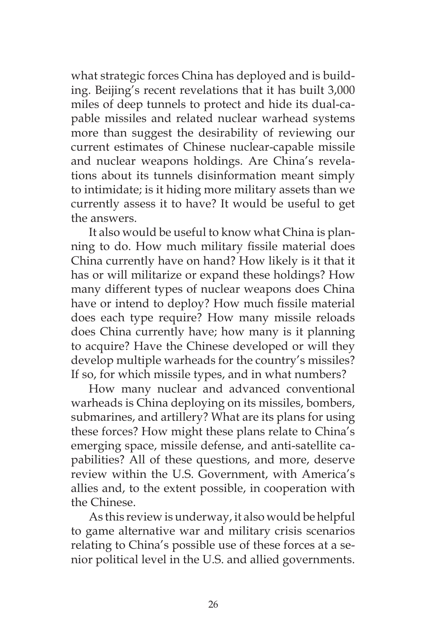what strategic forces China has deployed and is building. Beijing's recent revelations that it has built 3,000 miles of deep tunnels to protect and hide its dual-capable missiles and related nuclear warhead systems more than suggest the desirability of reviewing our current estimates of Chinese nuclear-capable missile and nuclear weapons holdings. Are China's revelations about its tunnels disinformation meant simply to intimidate; is it hiding more military assets than we currently assess it to have? It would be useful to get the answers.

It also would be useful to know what China is planning to do. How much military fissile material does China currently have on hand? How likely is it that it has or will militarize or expand these holdings? How many different types of nuclear weapons does China have or intend to deploy? How much fissile material does each type require? How many missile reloads does China currently have; how many is it planning to acquire? Have the Chinese developed or will they develop multiple warheads for the country's missiles? If so, for which missile types, and in what numbers?

How many nuclear and advanced conventional warheads is China deploying on its missiles, bombers, submarines, and artillery? What are its plans for using these forces? How might these plans relate to China's emerging space, missile defense, and anti-satellite capabilities? All of these questions, and more, deserve review within the U.S. Government, with America's allies and, to the extent possible, in cooperation with the Chinese.

As this review is underway, it also would be helpful to game alternative war and military crisis scenarios relating to China's possible use of these forces at a senior political level in the U.S. and allied governments.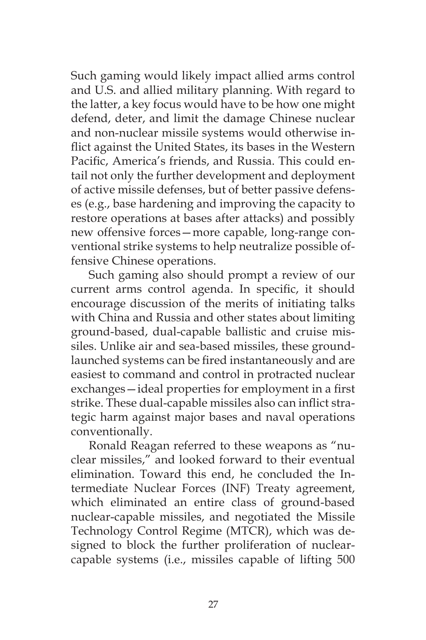Such gaming would likely impact allied arms control and U.S. and allied military planning. With regard to the latter, a key focus would have to be how one might defend, deter, and limit the damage Chinese nuclear and non-nuclear missile systems would otherwise inflict against the United States, its bases in the Western Pacific, America's friends, and Russia. This could entail not only the further development and deployment of active missile defenses, but of better passive defenses (e.g., base hardening and improving the capacity to restore operations at bases after attacks) and possibly new offensive forces—more capable, long-range conventional strike systems to help neutralize possible offensive Chinese operations.

Such gaming also should prompt a review of our current arms control agenda. In specific, it should encourage discussion of the merits of initiating talks with China and Russia and other states about limiting ground-based, dual-capable ballistic and cruise missiles. Unlike air and sea-based missiles, these groundlaunched systems can be fired instantaneously and are easiest to command and control in protracted nuclear exchanges—ideal properties for employment in a first strike. These dual-capable missiles also can inflict strategic harm against major bases and naval operations conventionally.

Ronald Reagan referred to these weapons as "nuclear missiles," and looked forward to their eventual elimination. Toward this end, he concluded the Intermediate Nuclear Forces (INF) Treaty agreement, which eliminated an entire class of ground-based nuclear-capable missiles, and negotiated the Missile Technology Control Regime (MTCR), which was designed to block the further proliferation of nuclearcapable systems (i.e., missiles capable of lifting 500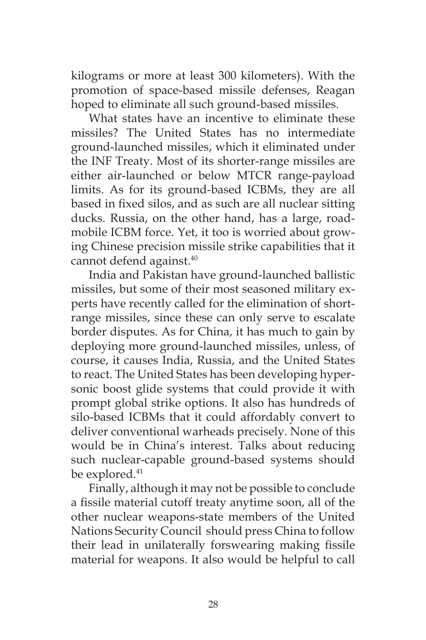kilograms or more at least 300 kilometers). With the promotion of space-based missile defenses, Reagan hoped to eliminate all such ground-based missiles.

What states have an incentive to eliminate these missiles? The United States has no intermediate ground-launched missiles, which it eliminated under the INF Treaty. Most of its shorter-range missiles are either air-launched or below MTCR range-payload limits. As for its ground-based ICBMs, they are all based in fixed silos, and as such are all nuclear sitting ducks. Russia, on the other hand, has a large, roadmobile ICBM force. Yet, it too is worried about growing Chinese precision missile strike capabilities that it cannot defend against.<sup>40</sup>

India and Pakistan have ground-launched ballistic missiles, but some of their most seasoned military experts have recently called for the elimination of shortrange missiles, since these can only serve to escalate border disputes. As for China, it has much to gain by deploying more ground-launched missiles, unless, of course, it causes India, Russia, and the United States to react. The United States has been developing hypersonic boost glide systems that could provide it with prompt global strike options. It also has hundreds of silo-based ICBMs that it could affordably convert to deliver conventional warheads precisely. None of this would be in China's interest. Talks about reducing such nuclear-capable ground-based systems should be explored.<sup>41</sup>

Finally, although it may not be possible to conclude a fissile material cutoff treaty anytime soon, all of the other nuclear weapons-state members of the United Nations Security Council should press China to follow their lead in unilaterally forswearing making fissile material for weapons. It also would be helpful to call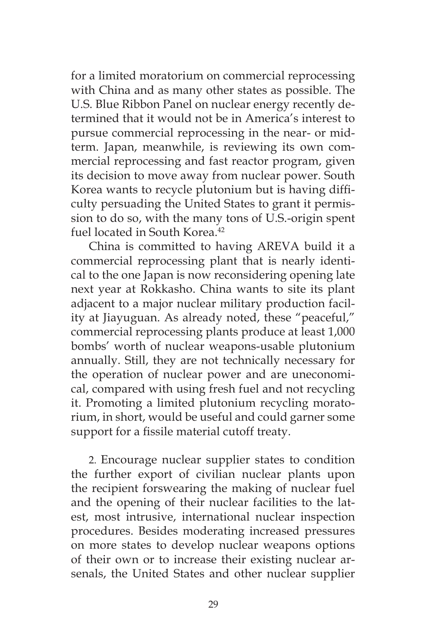for a limited moratorium on commercial reprocessing with China and as many other states as possible. The U.S. Blue Ribbon Panel on nuclear energy recently determined that it would not be in America's interest to pursue commercial reprocessing in the near- or midterm. Japan, meanwhile, is reviewing its own commercial reprocessing and fast reactor program, given its decision to move away from nuclear power. South Korea wants to recycle plutonium but is having difficulty persuading the United States to grant it permission to do so, with the many tons of U.S.-origin spent fuel located in South Korea.<sup>42</sup>

China is committed to having AREVA build it a commercial reprocessing plant that is nearly identical to the one Japan is now reconsidering opening late next year at Rokkasho. China wants to site its plant adjacent to a major nuclear military production facility at Jiayuguan. As already noted, these "peaceful," commercial reprocessing plants produce at least 1,000 bombs' worth of nuclear weapons-usable plutonium annually. Still, they are not technically necessary for the operation of nuclear power and are uneconomical, compared with using fresh fuel and not recycling it. Promoting a limited plutonium recycling moratorium, in short, would be useful and could garner some support for a fissile material cutoff treaty.

2. Encourage nuclear supplier states to condition the further export of civilian nuclear plants upon the recipient forswearing the making of nuclear fuel and the opening of their nuclear facilities to the latest, most intrusive, international nuclear inspection procedures. Besides moderating increased pressures on more states to develop nuclear weapons options of their own or to increase their existing nuclear arsenals, the United States and other nuclear supplier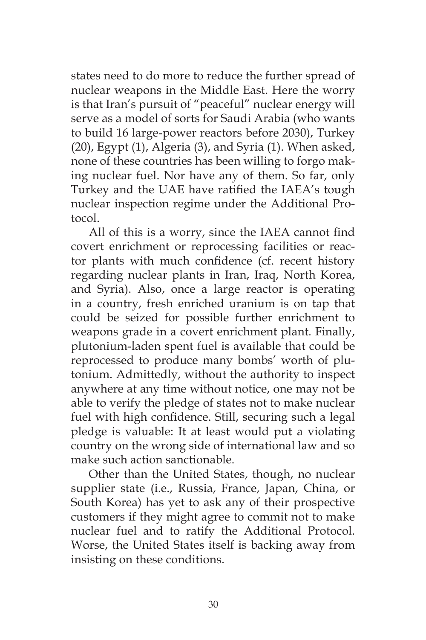states need to do more to reduce the further spread of nuclear weapons in the Middle East. Here the worry is that Iran's pursuit of "peaceful" nuclear energy will serve as a model of sorts for Saudi Arabia (who wants to build 16 large-power reactors before 2030), Turkey (20), Egypt (1), Algeria (3), and Syria (1). When asked, none of these countries has been willing to forgo making nuclear fuel. Nor have any of them. So far, only Turkey and the UAE have ratified the IAEA's tough nuclear inspection regime under the Additional Protocol.

All of this is a worry, since the IAEA cannot find covert enrichment or reprocessing facilities or reactor plants with much confidence (cf. recent history regarding nuclear plants in Iran, Iraq, North Korea, and Syria). Also, once a large reactor is operating in a country, fresh enriched uranium is on tap that could be seized for possible further enrichment to weapons grade in a covert enrichment plant. Finally, plutonium-laden spent fuel is available that could be reprocessed to produce many bombs' worth of plutonium. Admittedly, without the authority to inspect anywhere at any time without notice, one may not be able to verify the pledge of states not to make nuclear fuel with high confidence. Still, securing such a legal pledge is valuable: It at least would put a violating country on the wrong side of international law and so make such action sanctionable.

Other than the United States, though, no nuclear supplier state (i.e., Russia, France, Japan, China, or South Korea) has yet to ask any of their prospective customers if they might agree to commit not to make nuclear fuel and to ratify the Additional Protocol. Worse, the United States itself is backing away from insisting on these conditions.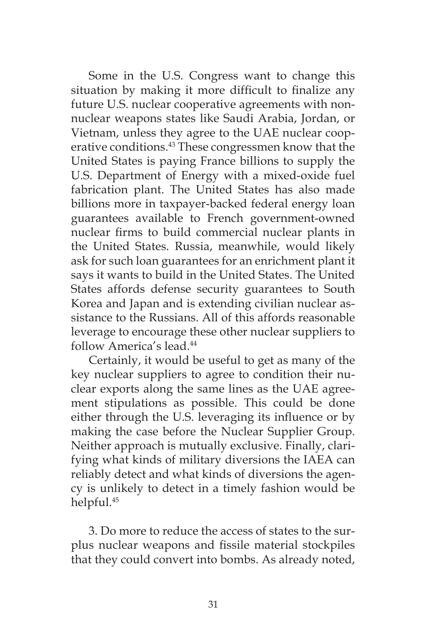Some in the U.S. Congress want to change this situation by making it more difficult to finalize any future U.S. nuclear cooperative agreements with nonnuclear weapons states like Saudi Arabia, Jordan, or Vietnam, unless they agree to the UAE nuclear cooperative conditions.<sup>43</sup> These congressmen know that the United States is paying France billions to supply the U.S. Department of Energy with a mixed-oxide fuel fabrication plant. The United States has also made billions more in taxpayer-backed federal energy loan guarantees available to French government-owned nuclear firms to build commercial nuclear plants in the United States. Russia, meanwhile, would likely ask for such loan guarantees for an enrichment plant it says it wants to build in the United States. The United States affords defense security guarantees to South Korea and Japan and is extending civilian nuclear assistance to the Russians. All of this affords reasonable leverage to encourage these other nuclear suppliers to follow America's lead.44

Certainly, it would be useful to get as many of the key nuclear suppliers to agree to condition their nuclear exports along the same lines as the UAE agreement stipulations as possible. This could be done either through the U.S. leveraging its influence or by making the case before the Nuclear Supplier Group. Neither approach is mutually exclusive. Finally, clarifying what kinds of military diversions the IAEA can reliably detect and what kinds of diversions the agency is unlikely to detect in a timely fashion would be helpful.45

3. Do more to reduce the access of states to the surplus nuclear weapons and fissile material stockpiles that they could convert into bombs. As already noted,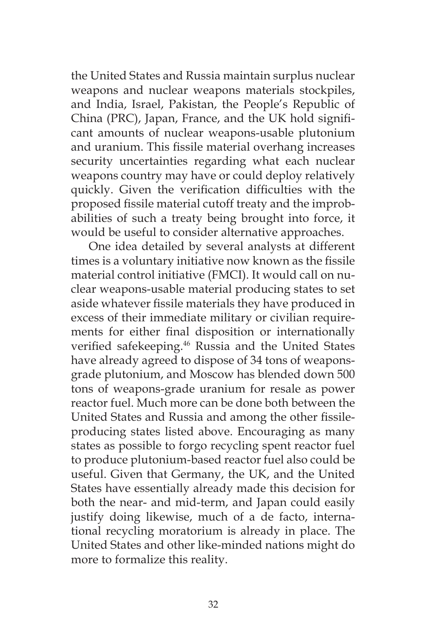the United States and Russia maintain surplus nuclear weapons and nuclear weapons materials stockpiles, and India, Israel, Pakistan, the People's Republic of China (PRC), Japan, France, and the UK hold significant amounts of nuclear weapons-usable plutonium and uranium. This fissile material overhang increases security uncertainties regarding what each nuclear weapons country may have or could deploy relatively quickly. Given the verification difficulties with the proposed fissile material cutoff treaty and the improbabilities of such a treaty being brought into force, it would be useful to consider alternative approaches.

One idea detailed by several analysts at different times is a voluntary initiative now known as the fissile material control initiative (FMCI). It would call on nuclear weapons-usable material producing states to set aside whatever fissile materials they have produced in excess of their immediate military or civilian requirements for either final disposition or internationally verified safekeeping.<sup>46</sup> Russia and the United States have already agreed to dispose of 34 tons of weaponsgrade plutonium, and Moscow has blended down 500 tons of weapons-grade uranium for resale as power reactor fuel. Much more can be done both between the United States and Russia and among the other fissileproducing states listed above. Encouraging as many states as possible to forgo recycling spent reactor fuel to produce plutonium-based reactor fuel also could be useful. Given that Germany, the UK, and the United States have essentially already made this decision for both the near- and mid-term, and Japan could easily justify doing likewise, much of a de facto, international recycling moratorium is already in place. The United States and other like-minded nations might do more to formalize this reality.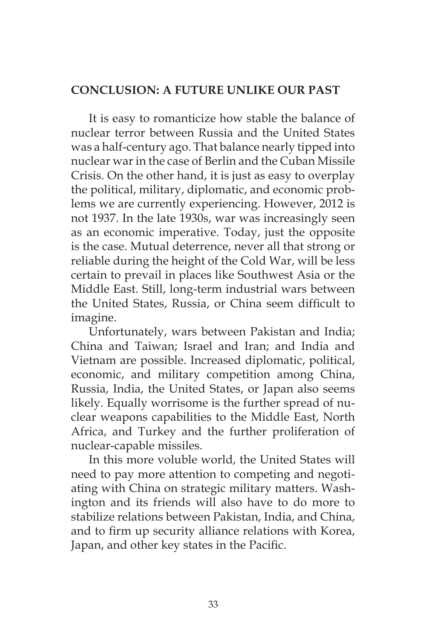# **CONCLUSION: A FUTURE UNLIKE OUR PAST**

It is easy to romanticize how stable the balance of nuclear terror between Russia and the United States was a half-century ago. That balance nearly tipped into nuclear war in the case of Berlin and the Cuban Missile Crisis. On the other hand, it is just as easy to overplay the political, military, diplomatic, and economic problems we are currently experiencing. However, 2012 is not 1937. In the late 1930s, war was increasingly seen as an economic imperative. Today, just the opposite is the case. Mutual deterrence, never all that strong or reliable during the height of the Cold War, will be less certain to prevail in places like Southwest Asia or the Middle East. Still, long-term industrial wars between the United States, Russia, or China seem difficult to imagine.

Unfortunately, wars between Pakistan and India; China and Taiwan; Israel and Iran; and India and Vietnam are possible. Increased diplomatic, political, economic, and military competition among China, Russia, India, the United States, or Japan also seems likely. Equally worrisome is the further spread of nuclear weapons capabilities to the Middle East, North Africa, and Turkey and the further proliferation of nuclear-capable missiles.

In this more voluble world, the United States will need to pay more attention to competing and negotiating with China on strategic military matters. Washington and its friends will also have to do more to stabilize relations between Pakistan, India, and China, and to firm up security alliance relations with Korea, Japan, and other key states in the Pacific.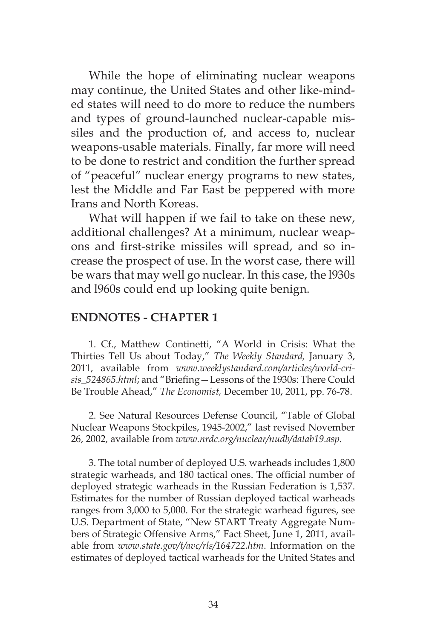While the hope of eliminating nuclear weapons may continue, the United States and other like-minded states will need to do more to reduce the numbers and types of ground-launched nuclear-capable missiles and the production of, and access to, nuclear weapons-usable materials. Finally, far more will need to be done to restrict and condition the further spread of "peaceful" nuclear energy programs to new states, lest the Middle and Far East be peppered with more Irans and North Koreas.

What will happen if we fail to take on these new, additional challenges? At a minimum, nuclear weapons and first-strike missiles will spread, and so increase the prospect of use. In the worst case, there will be wars that may well go nuclear. In this case, the l930s and l960s could end up looking quite benign.

### **ENDNOTES - CHAPTER 1**

1. Cf., Matthew Continetti, "A World in Crisis: What the Thirties Tell Us about Today," *The Weekly Standard,* January 3, 2011, available from *www.weeklystandard.com/articles/world-crisis\_524865.html*; and "Briefing—Lessons of the 1930s: There Could Be Trouble Ahead," *The Economist,* December 10, 2011, pp. 76-78.

2. See Natural Resources Defense Council, "Table of Global Nuclear Weapons Stockpiles, 1945-2002," last revised November 26, 2002, available from *www.nrdc.org/nuclear/nudb/datab19.asp*.

3. The total number of deployed U.S. warheads includes 1,800 strategic warheads, and 180 tactical ones. The official number of deployed strategic warheads in the Russian Federation is 1,537. Estimates for the number of Russian deployed tactical warheads ranges from 3,000 to 5,000. For the strategic warhead figures, see U.S. Department of State, "New START Treaty Aggregate Numbers of Strategic Offensive Arms," Fact Sheet, June 1, 2011, available from *www.state.gov/t/avc/rls/164722.htm*. Information on the estimates of deployed tactical warheads for the United States and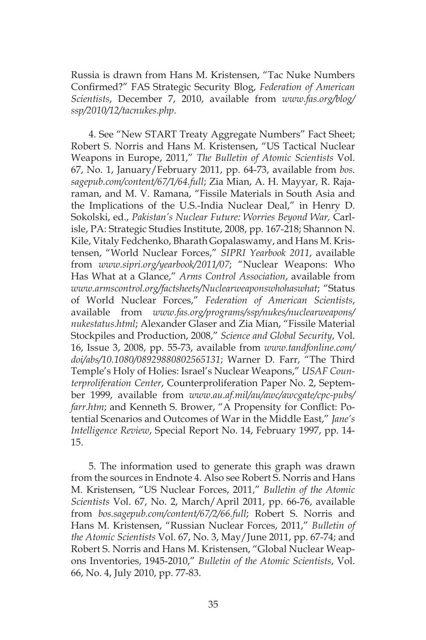Russia is drawn from Hans M. Kristensen, "Tac Nuke Numbers Confirmed?" FAS Strategic Security Blog, *Federation of American Scientists*, December 7, 2010, available from *www.fas.org/blog/ ssp/2010/12/tacnukes.php*.

4. See "New START Treaty Aggregate Numbers" Fact Sheet; Robert S. Norris and Hans M. Kristensen, "US Tactical Nuclear Weapons in Europe, 2011," *The Bulletin of Atomic Scientists* Vol. 67, No. 1, January/February 2011, pp. 64-73, available from *bos. sagepub.com/content/67/1/64.full*; Zia Mian, A. H. Mayyar, R. Rajaraman, and M. V. Ramana, "Fissile Materials in South Asia and the Implications of the U.S.-India Nuclear Deal," in Henry D. Sokolski, ed., *Pakistan's Nuclear Future: Worries Beyond War,* Carlisle, PA: Strategic Studies Institute, 2008, pp. 167-218; Shannon N. Kile, Vitaly Fedchenko, Bharath Gopalaswamy, and Hans M. Kristensen, "World Nuclear Forces," *SIPRI Yearbook 2011*, available from *www.sipri.org/yearbook/2011/07*; "Nuclear Weapons: Who Has What at a Glance," *Arms Control Association*, available from *www.armscontrol.org/factsheets/Nuclearweaponswhohaswhat*; "Status of World Nuclear Forces," *Federation of American Scientists*, available from *www.fas.org/programs/ssp/nukes/nuclearweapons/ nukestatus.html*; Alexander Glaser and Zia Mian, "Fissile Material Stockpiles and Production, 2008," *Science and Global Security*, Vol. 16, Issue 3, 2008, pp. 55-73, available from *www.tandfonline.com/ doi/abs/10.1080/08929880802565131*; Warner D. Farr, "The Third Temple's Holy of Holies: Israel's Nuclear Weapons," *USAF Counterproliferation Center*, Counterproliferation Paper No. 2, September 1999, available from *www.au.af.mil/au/awc/awcgate/cpc-pubs/ farr.htm*; and Kenneth S. Brower, "A Propensity for Conflict: Potential Scenarios and Outcomes of War in the Middle East," *Jane's Intelligence Review*, Special Report No. 14, February 1997, pp. 14- 15.

5. The information used to generate this graph was drawn from the sources in Endnote 4. Also see Robert S. Norris and Hans M. Kristensen, "US Nuclear Forces, 2011," *Bulletin of the Atomic Scientists* Vol. 67, No. 2, March/April 2011, pp. 66-76, available from *bos.sagepub.com/content/67/2/66.full*; Robert S. Norris and Hans M. Kristensen, "Russian Nuclear Forces, 2011," *Bulletin of the Atomic Scientists* Vol. 67, No. 3, May/June 2011, pp. 67-74; and Robert S. Norris and Hans M. Kristensen, "Global Nuclear Weapons Inventories, 1945-2010," *Bulletin of the Atomic Scientists*, Vol. 66, No. 4, July 2010, pp. 77-83.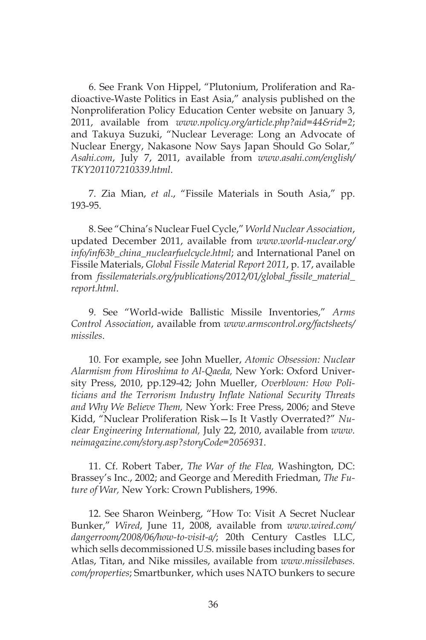6. See Frank Von Hippel, "Plutonium, Proliferation and Radioactive-Waste Politics in East Asia," analysis published on the Nonproliferation Policy Education Center website on January 3, 2011, available from *www.npolicy.org/article.php?aid=44&rid=2*; and Takuya Suzuki, "Nuclear Leverage: Long an Advocate of Nuclear Energy, Nakasone Now Says Japan Should Go Solar," *Asahi.com*, July 7, 2011, available from *www.asahi.com/english/ TKY201107210339.html*.

7. Zia Mian, *et al*., "Fissile Materials in South Asia," pp. 193-95.

8. See "China's Nuclear Fuel Cycle," *World Nuclear Association*, updated December 2011, available from *www.world-nuclear.org/ info/inf63b\_china\_nuclearfuelcycle.html*; and International Panel on Fissile Materials, *Global Fissile Material Report 2011*, p. 17, available from *fissilematerials.org/publications/2012/01/global\_fissile\_material\_ report.html*.

9. See "World-wide Ballistic Missile Inventories," *Arms Control Association*, available from *www.armscontrol.org/factsheets/ missiles*.

10. For example, see John Mueller, *Atomic Obsession: Nuclear Alarmism from Hiroshima to Al-Qaeda,* New York: Oxford University Press, 2010, pp.129-42; John Mueller, *Overblown: How Politicians and the Terrorism Industry Inflate National Security Threats and Why We Believe Them,* New York: Free Press, 2006; and Steve Kidd, "Nuclear Proliferation Risk—Is It Vastly Overrated?" *Nuclear Engineering International,* July 22, 2010, available from *www. neimagazine.com/story.asp?storyCode=2056931*.

11. Cf. Robert Taber, *The War of the Flea,* Washington, DC: Brassey's Inc., 2002; and George and Meredith Friedman, *The Future of War,* New York: Crown Publishers, 1996.

12. See Sharon Weinberg, "How To: Visit A Secret Nuclear Bunker," *Wired*, June 11, 2008, available from *www.wired.com/ dangerroom/2008/06/how-to-visit-a/*; 20th Century Castles LLC, which sells decommissioned U.S. missile bases including bases for Atlas, Titan, and Nike missiles, available from *www.missilebases. com/properties*; Smartbunker, which uses NATO bunkers to secure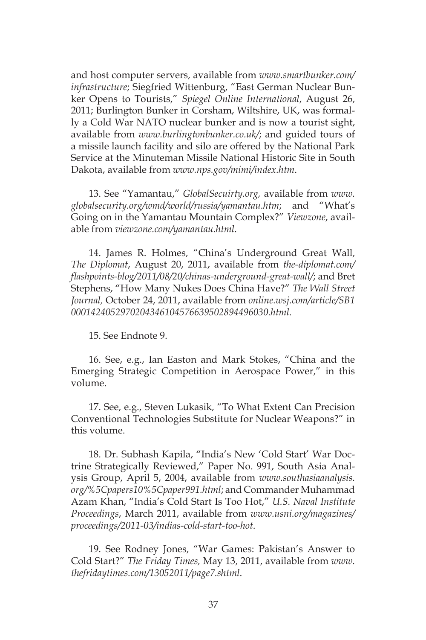and host computer servers, available from *www.smartbunker.com/ infrastructure*; Siegfried Wittenburg, "East German Nuclear Bunker Opens to Tourists," *Spiegel Online International*, August 26, 2011; Burlington Bunker in Corsham, Wiltshire, UK, was formally a Cold War NATO nuclear bunker and is now a tourist sight, available from *www.burlingtonbunker.co.uk/*; and guided tours of a missile launch facility and silo are offered by the National Park Service at the Minuteman Missile National Historic Site in South Dakota, available from *www.nps.gov/mimi/index.htm*.

13. See "Yamantau," *GlobalSecuirty.org,* available from *www. globalsecurity.org/wmd/world/russia/yamantau.htm*; and "What's Going on in the Yamantau Mountain Complex?" *Viewzone*, available from *viewzone.com/yamantau.html*.

14. James R. Holmes, "China's Underground Great Wall, *The Diplomat*, August 20, 2011, available from *the-diplomat.com/ flashpoints-blog/2011/08/20/chinas-underground-great-wall/*; and Bret Stephens, "How Many Nukes Does China Have?" *The Wall Street Journal,* October 24, 2011, available from *online.wsj.com/article/SB1 0001424052970204346104576639502894496030.html.*

15. See Endnote 9.

16. See, e.g., Ian Easton and Mark Stokes, "China and the Emerging Strategic Competition in Aerospace Power," in this volume.

17. See, e.g., Steven Lukasik, "To What Extent Can Precision Conventional Technologies Substitute for Nuclear Weapons?" in this volume.

18. Dr. Subhash Kapila, "India's New 'Cold Start' War Doctrine Strategically Reviewed," Paper No. 991, South Asia Analysis Group, April 5, 2004, available from *www.southasiaanalysis. org/%5Cpapers10%5Cpaper991.html*; and Commander Muhammad Azam Khan, "India's Cold Start Is Too Hot," *U.S. Naval Institute Proceedings*, March 2011, available from *www.usni.org/magazines/ proceedings/2011-03/indias-cold-start-too-hot*.

19. See Rodney Jones, "War Games: Pakistan's Answer to Cold Start?" *The Friday Times,* May 13, 2011, available from *www. thefridaytimes.com/13052011/page7.shtml*.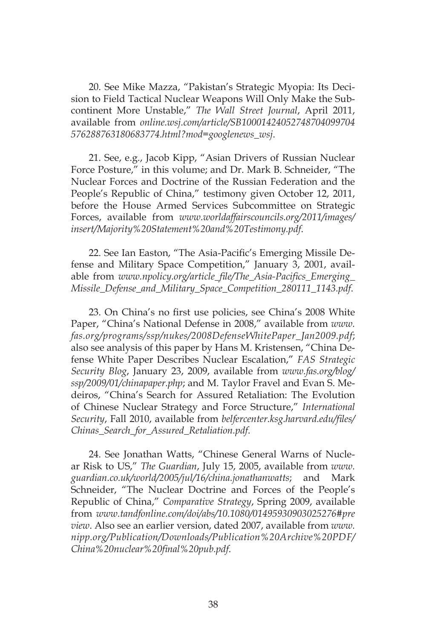20. See Mike Mazza, "Pakistan's Strategic Myopia: Its Decision to Field Tactical Nuclear Weapons Will Only Make the Subcontinent More Unstable," *The Wall Street Journal*, April 2011, available from *online.wsj.com/article/SB10001424052748704099704 576288763180683774.html?mod=googlenews\_wsj*.

21. See, e.g., Jacob Kipp, "Asian Drivers of Russian Nuclear Force Posture," in this volume; and Dr. Mark B. Schneider, "The Nuclear Forces and Doctrine of the Russian Federation and the People's Republic of China," testimony given October 12, 2011, before the House Armed Services Subcommittee on Strategic Forces, available from *www.worldaffairscouncils.org/2011/images/ insert/Majority%20Statement%20and%20Testimony.pdf*.

22. See Ian Easton, "The Asia-Pacific's Emerging Missile Defense and Military Space Competition," January 3, 2001, available from *www.npolicy.org/article\_file/The\_Asia-Pacifics\_Emerging\_ Missile\_Defense\_and\_Military\_Space\_Competition\_280111\_1143.pdf*.

23. On China's no first use policies, see China's 2008 White Paper, "China's National Defense in 2008," available from *www. fas.org/programs/ssp/nukes/2008DefenseWhitePaper\_Jan2009.pdf*; also see analysis of this paper by Hans M. Kristensen, "China Defense White Paper Describes Nuclear Escalation," *FAS Strategic Security Blog*, January 23, 2009, available from *www.fas.org/blog/ ssp/2009/01/chinapaper.php*; and M. Taylor Fravel and Evan S. Medeiros, "China's Search for Assured Retaliation: The Evolution of Chinese Nuclear Strategy and Force Structure," *International Security*, Fall 2010, available from *belfercenter.ksg.harvard.edu/files/ Chinas\_Search\_for\_Assured\_Retaliation.pdf*.

24. See Jonathan Watts, "Chinese General Warns of Nuclear Risk to US," *The Guardian*, July 15, 2005, available from *www. guardian.co.uk/world/2005/jul/16/china.jonathanwatts*; and Mark Schneider, "The Nuclear Doctrine and Forces of the People's Republic of China," *Comparative Strategy*, Spring 2009, available from *www.tandfonline.com/doi/abs/10.1080/01495930903025276#pre view*. Also see an earlier version, dated 2007, available from *www. nipp.org/Publication/Downloads/Publication%20Archive%20PDF/ China%20nuclear%20final%20pub.pdf*.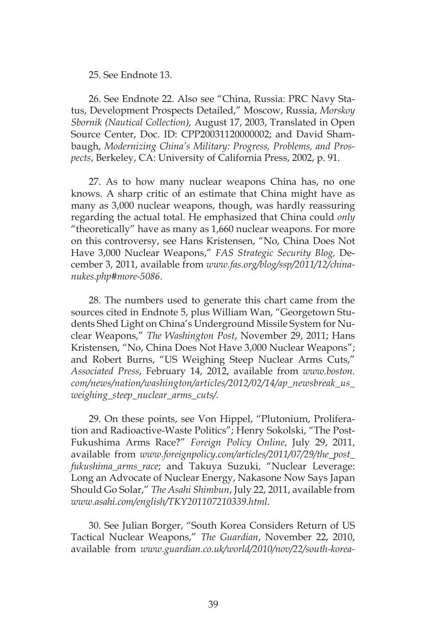25. See Endnote 13.

26. See Endnote 22. Also see "China, Russia: PRC Navy Status, Development Prospects Detailed," Moscow, Russia, *Morskoy Sbornik (Nautical Collection),* August 17, 2003, Translated in Open Source Center, Doc. ID: CPP20031120000002; and David Shambaugh, *Modernizing China's Military: Progress, Problems, and Prospects*, Berkeley, CA: University of California Press, 2002, p. 91.

27. As to how many nuclear weapons China has, no one knows. A sharp critic of an estimate that China might have as many as 3,000 nuclear weapons, though, was hardly reassuring regarding the actual total. He emphasized that China could *only* "theoretically" have as many as 1,660 nuclear weapons. For more on this controversy, see Hans Kristensen, "No, China Does Not Have 3,000 Nuclear Weapons," *FAS Strategic Security Blog,* December 3, 2011, available from *www.fas.org/blog/ssp/2011/12/chinanukes.php#more-5086*.

28. The numbers used to generate this chart came from the sources cited in Endnote 5, plus William Wan, "Georgetown Students Shed Light on China's Underground Missile System for Nuclear Weapons," *The Washington Post*, November 29, 2011; Hans Kristensen, "No, China Does Not Have 3,000 Nuclear Weapons"; and Robert Burns, "US Weighing Steep Nuclear Arms Cuts," *Associated Press*, February 14, 2012, available from *www.boston. com/news/nation/washington/articles/2012/02/14/ap\_newsbreak\_us\_ weighing\_steep\_nuclear\_arms\_cuts/.*

29. On these points, see Von Hippel, "Plutonium, Proliferation and Radioactive-Waste Politics"; Henry Sokolski, "The Post-Fukushima Arms Race?" *Foreign Policy Online*, July 29, 2011, available from *www.foreignpolicy.com/articles/2011/07/29/the\_post\_ fukushima\_arms\_race*; and Takuya Suzuki, "Nuclear Leverage: Long an Advocate of Nuclear Energy, Nakasone Now Says Japan Should Go Solar," *The Asahi Shimbun*, July 22, 2011, available from *www.asahi.com/english/TKY201107210339.html*.

30. See Julian Borger, "South Korea Considers Return of US Tactical Nuclear Weapons," *The Guardian*, November 22, 2010, available from *www.guardian.co.uk/world/2010/nov/22/south-korea-*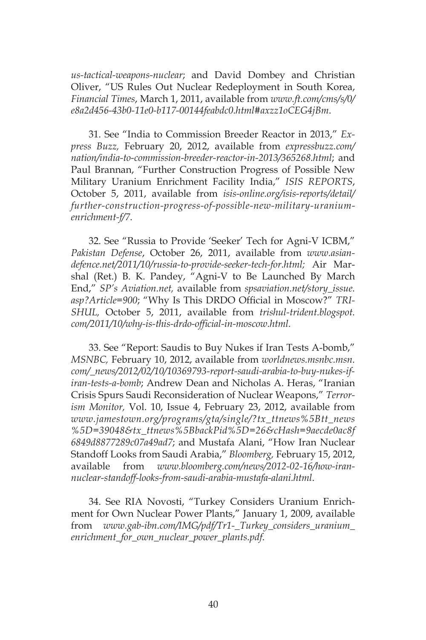*us-tactical-weapons-nuclear*; and David Dombey and Christian Oliver, "US Rules Out Nuclear Redeployment in South Korea, *Financial Times*, March 1, 2011, available from *www.ft.com/cms/s/0/ e8a2d456-43b0-11e0-b117-00144feabdc0.html#axzz1oCEG4jBm*.

31. See "India to Commission Breeder Reactor in 2013," *Express Buzz,* February 20, 2012, available from *expressbuzz.com/ nation/india-to-commission-breeder-reactor-in-2013/365268.html*; and Paul Brannan, "Further Construction Progress of Possible New Military Uranium Enrichment Facility India," *ISIS REPORTS*, October 5, 2011, available from *isis-online.org/isis-reports/detail/ further-construction-progress-of-possible-new-military-uraniumenrichment-f/7*.

32. See "Russia to Provide 'Seeker' Tech for Agni-V ICBM," *Pakistan Defense*, October 26, 2011, available from *www.asiandefence.net/2011/10/russia-to-provide-seeker-tech-for.html;* Air Marshal (Ret.) B. K. Pandey, "Agni-V to Be Launched By March End," *SP's Aviation.net,* available from *spsaviation.net/story\_issue. asp?Article=900*; "Why Is This DRDO Official in Moscow?" *TRI-SHUL,* October 5, 2011, available from *trishul-trident.blogspot. com/2011/10/why-is-this-drdo-official-in-moscow.html.*

33. See "Report: Saudis to Buy Nukes if Iran Tests A-bomb," *MSNBC,* February 10, 2012, available from *worldnews.msnbc.msn. com/\_news/2012/02/10/10369793-report-saudi-arabia-to-buy-nukes-ifiran-tests-a-bomb*; Andrew Dean and Nicholas A. Heras, "Iranian Crisis Spurs Saudi Reconsideration of Nuclear Weapons," *Terrorism Monitor,* Vol. 10, Issue 4, February 23, 2012, available from *www.jamestown.org/programs/gta/single/?tx\_ttnews%5Btt\_news %5D=39048&tx\_ttnews%5BbackPid%5D=26&cHash=9aecde0ac8f 6849d8877289c07a49ad7*; and Mustafa Alani, "How Iran Nuclear Standoff Looks from Saudi Arabia," *Bloomberg,* February 15, 2012, available from *www.bloomberg.com/news/2012-02-16/how-irannuclear-standoff-looks-from-saudi-arabia-mustafa-alani.html*.

34. See RIA Novosti, "Turkey Considers Uranium Enrichment for Own Nuclear Power Plants," January 1, 2009, available from *www.gab-ibn.com/IMG/pdf/Tr1-\_Turkey\_considers\_uranium\_ enrichment\_for\_own\_nuclear\_power\_plants.pdf*.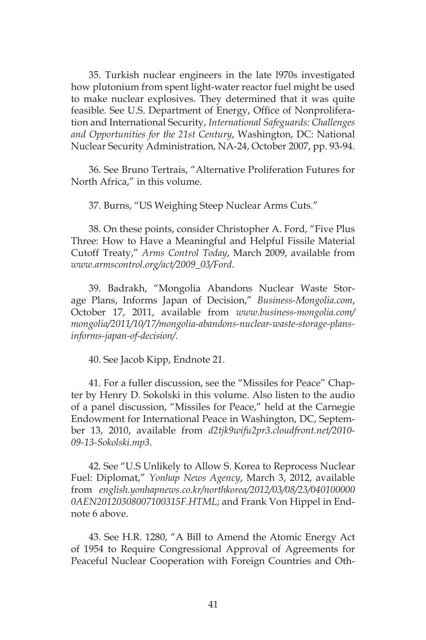35. Turkish nuclear engineers in the late l970s investigated how plutonium from spent light-water reactor fuel might be used to make nuclear explosives. They determined that it was quite feasible. See U.S. Department of Energy, Office of Nonproliferation and International Security, *International Safeguards: Challenges and Opportunities for the 21st Century*, Washington, DC: National Nuclear Security Administration, NA-24, October 2007, pp. 93-94.

36. See Bruno Tertrais, "Alternative Proliferation Futures for North Africa," in this volume.

37. Burns, "US Weighing Steep Nuclear Arms Cuts."

38. On these points, consider Christopher A. Ford, "Five Plus Three: How to Have a Meaningful and Helpful Fissile Material Cutoff Treaty," *Arms Control Today*, March 2009, available from *www.armscontrol.org/act/2009\_03/Ford*.

39. Badrakh, "Mongolia Abandons Nuclear Waste Storage Plans, Informs Japan of Decision," *Business-Mongolia.com*, October 17, 2011, available from *www.business-mongolia.com/ mongolia/2011/10/17/mongolia-abandons-nuclear-waste-storage-plansinforms-japan-of-decision/*.

40. See Jacob Kipp, Endnote 21.

41. For a fuller discussion, see the "Missiles for Peace" Chapter by Henry D. Sokolski in this volume. Also listen to the audio of a panel discussion, "Missiles for Peace," held at the Carnegie Endowment for International Peace in Washington, DC, September 13, 2010, available from *d2tjk9wifu2pr3.cloudfront.net/2010- 09-13-Sokolski.mp3*.

42. See "U.S Unlikely to Allow S. Korea to Reprocess Nuclear Fuel: Diplomat," *Yonhap News Agency*, March 3, 2012, available from *english.yonhapnews.co.kr/northkorea/2012/03/08/23/040100000 0AEN20120308007100315F.HTML*; and Frank Von Hippel in Endnote 6 above.

43. See H.R. 1280, "A Bill to Amend the Atomic Energy Act of 1954 to Require Congressional Approval of Agreements for Peaceful Nuclear Cooperation with Foreign Countries and Oth-